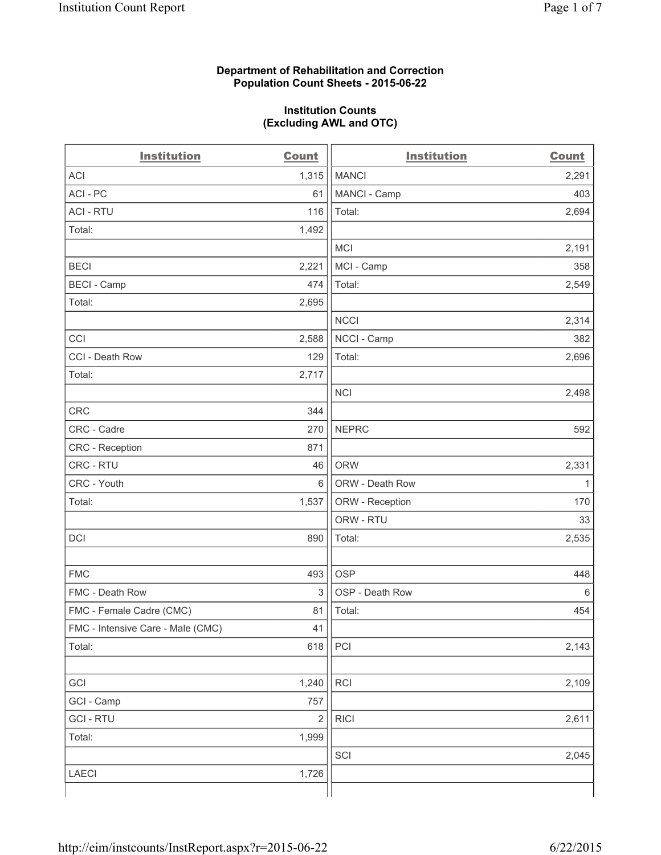# **Department of Rehabilitation and Correction Population Count Sheets - 2015-06-22**

## **Institution Counts (Excluding AWL and OTC)**

| <b>Institution</b>                | <b>Count</b> | <b>Institution</b> | <b>Count</b> |
|-----------------------------------|--------------|--------------------|--------------|
| <b>ACI</b>                        | 1,315        | <b>MANCI</b>       | 2,291        |
| ACI-PC                            | 61           | MANCI - Camp       | 403          |
| <b>ACI - RTU</b>                  | 116          | Total:             | 2,694        |
| Total:                            | 1,492        |                    |              |
|                                   |              | <b>MCI</b>         | 2,191        |
| <b>BECI</b>                       | 2,221        | MCI - Camp         | 358          |
| <b>BECI - Camp</b>                | 474          | Total:             | 2,549        |
| Total:                            | 2,695        |                    |              |
|                                   |              | <b>NCCI</b>        | 2,314        |
| CCI                               | 2,588        | NCCI - Camp        | 382          |
| CCI - Death Row                   | 129          | Total:             | 2,696        |
| Total:                            | 2,717        |                    |              |
|                                   |              | <b>NCI</b>         | 2,498        |
| <b>CRC</b>                        | 344          |                    |              |
| CRC - Cadre                       | 270          | <b>NEPRC</b>       | 592          |
| CRC - Reception                   | 871          |                    |              |
| CRC - RTU                         | 46           | <b>ORW</b>         | 2,331        |
| CRC - Youth                       | 6            | ORW - Death Row    | 1            |
| Total:                            | 1,537        | ORW - Reception    | 170          |
|                                   |              | ORW - RTU          | 33           |
| DCI                               | 890          | Total:             | 2,535        |
|                                   |              |                    |              |
| <b>FMC</b>                        | 493          | <b>OSP</b>         | 448          |
| FMC - Death Row                   | 3            | OSP - Death Row    | 6            |
| FMC - Female Cadre (CMC)          | 81           | Total:             | 454          |
| FMC - Intensive Care - Male (CMC) | 41           |                    |              |
| Total:                            | 618          | PCI                | 2,143        |
|                                   |              |                    |              |
| GCI                               | 1,240        | RCI                | 2,109        |
| GCI - Camp                        | 757          |                    |              |
| <b>GCI-RTU</b>                    | $\sqrt{2}$   | <b>RICI</b>        | 2,611        |
| Total:                            | 1,999        |                    |              |
|                                   |              | SCI                | 2,045        |
| LAECI                             | 1,726        |                    |              |
|                                   |              |                    |              |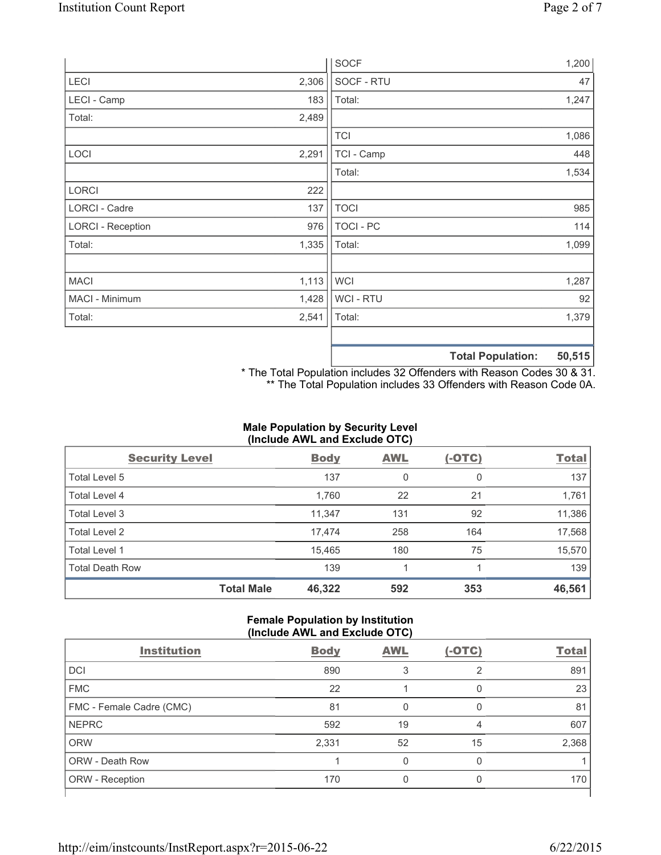|                          |       | <b>SOCF</b>    | 1,200                        |
|--------------------------|-------|----------------|------------------------------|
| <b>LECI</b>              | 2,306 | SOCF - RTU     | 47                           |
| LECI - Camp              | 183   | Total:         | 1,247                        |
| Total:                   | 2,489 |                |                              |
|                          |       | <b>TCI</b>     | 1,086                        |
| LOCI                     | 2,291 | TCI - Camp     | 448                          |
|                          |       | Total:         | 1,534                        |
| <b>LORCI</b>             | 222   |                |                              |
| LORCI - Cadre            | 137   | <b>TOCI</b>    | 985                          |
| <b>LORCI - Reception</b> | 976   | TOCI - PC      | 114                          |
| Total:                   | 1,335 | Total:         | 1,099                        |
|                          |       |                |                              |
| <b>MACI</b>              | 1,113 | WCI            | 1,287                        |
| MACI - Minimum           | 1,428 | <b>WCI-RTU</b> | 92                           |
| Total:                   | 2,541 | Total:         | 1,379                        |
|                          |       |                |                              |
|                          |       |                | EO EAE.<br>Tatal Damilations |

**Total Population: 50,515**

\* The Total Population includes 32 Offenders with Reason Codes 30 & 31. \*\* The Total Population includes 33 Offenders with Reason Code 0A.

# **Male Population by Security Level (Include AWL and Exclude OTC)**

| <b>Security Level</b>  |                   | <b>Body</b> | <b>AWL</b> | $(-OTC)$     | <b>Total</b> |
|------------------------|-------------------|-------------|------------|--------------|--------------|
| Total Level 5          |                   | 137         | 0          | $\mathbf{0}$ | 137          |
| Total Level 4          |                   | 1,760       | 22         | 21           | 1,761        |
| Total Level 3          |                   | 11,347      | 131        | 92           | 11,386       |
| Total Level 2          |                   | 17,474      | 258        | 164          | 17,568       |
| <b>Total Level 1</b>   |                   | 15,465      | 180        | 75           | 15,570       |
| <b>Total Death Row</b> |                   | 139         |            |              | 139          |
|                        | <b>Total Male</b> | 46,322      | 592        | 353          | 46,561       |

### **Female Population by Institution (Include AWL and Exclude OTC)**

| <b>Institution</b>       | <b>Body</b> | <b>AWL</b> | $(-OTC)$ | <b>Total</b> |
|--------------------------|-------------|------------|----------|--------------|
| <b>DCI</b>               | 890         |            | 2        | 891          |
| <b>FMC</b>               | 22          |            | 0        | 23           |
| FMC - Female Cadre (CMC) | 81          | O          | 0        | 81           |
| <b>NEPRC</b>             | 592         | 19         | 4        | 607          |
| <b>ORW</b>               | 2,331       | 52         | 15       | 2,368        |
| <b>ORW - Death Row</b>   |             | U          | 0        |              |
| ORW - Reception          | 170         |            |          | 170          |
|                          |             |            |          |              |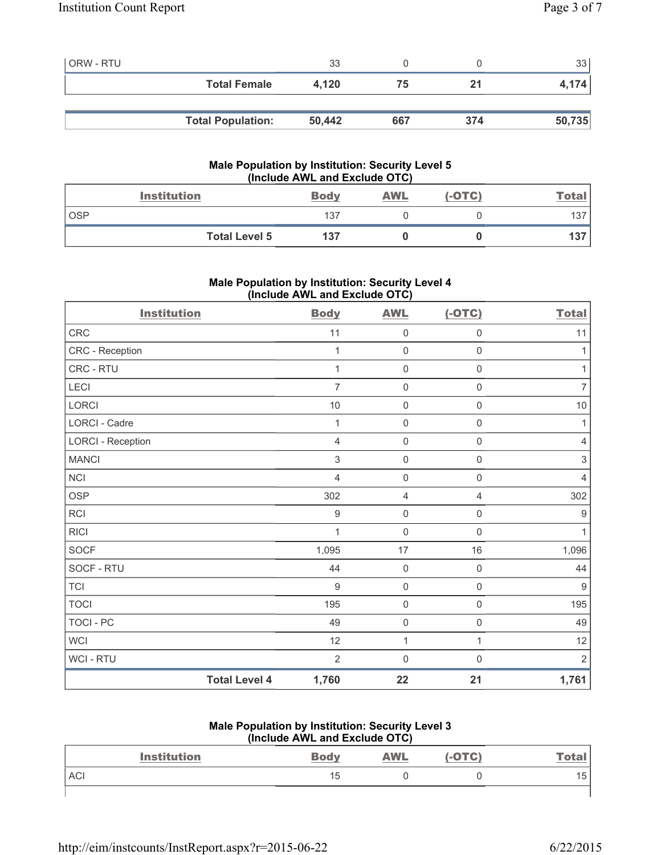| <b>ORW - RTU</b> |                          | 33     |     |     | 33 l   |
|------------------|--------------------------|--------|-----|-----|--------|
|                  | <b>Total Female</b>      | 4.120  | 75  | 21  | 4,174  |
|                  |                          |        |     |     |        |
|                  | <b>Total Population:</b> | 50,442 | 667 | 374 | 50,735 |

# **Male Population by Institution: Security Level 5 (Include AWL and Exclude OTC)**

|            | <b>Institution</b>   | <b>Body</b> | AWL | $(-OTC)$ | <b>Total</b> |
|------------|----------------------|-------------|-----|----------|--------------|
| <b>OSP</b> |                      | 137         |     |          | 137          |
|            | <b>Total Level 5</b> | 137         |     |          | 137          |

# **Male Population by Institution: Security Level 4 (Include AWL and Exclude OTC)**

| <b>Institution</b>       |                      | <b>Body</b>    | <b>AWL</b>          | $(-OTC)$            | <b>Total</b>     |
|--------------------------|----------------------|----------------|---------------------|---------------------|------------------|
| CRC                      |                      | 11             | 0                   | $\mathsf{O}\xspace$ | 11               |
| CRC - Reception          |                      | 1              | $\mathsf{O}\xspace$ | 0                   | 1                |
| CRC - RTU                |                      | $\mathbf 1$    | $\mathsf{O}\xspace$ | $\mathsf{O}\xspace$ | $\mathbf{1}$     |
| LECI                     |                      | $\overline{7}$ | $\mathsf{O}\xspace$ | $\mathsf 0$         | $\overline{7}$   |
| LORCI                    |                      | 10             | $\mathsf{O}\xspace$ | $\mathsf{O}\xspace$ | 10               |
| LORCI - Cadre            |                      | 1              | $\mathsf{O}\xspace$ | $\mathsf{O}\xspace$ | 1                |
| <b>LORCI - Reception</b> |                      | $\overline{4}$ | $\mathsf{O}\xspace$ | $\mathsf{O}\xspace$ | $\overline{4}$   |
| <b>MANCI</b>             |                      | $\mathfrak{Z}$ | $\mathsf{O}\xspace$ | $\mathsf 0$         | $\sqrt{3}$       |
| <b>NCI</b>               |                      | $\overline{4}$ | $\mathsf{O}\xspace$ | $\mathsf{O}\xspace$ | $\overline{4}$   |
| <b>OSP</b>               |                      | 302            | 4                   | 4                   | 302              |
| RCI                      |                      | $\mathsf 9$    | $\mathsf{O}\xspace$ | $\mathsf{O}\xspace$ | $\boldsymbol{9}$ |
| <b>RICI</b>              |                      | 1              | $\mathsf{O}\xspace$ | $\Omega$            | $\mathbf{1}$     |
| SOCF                     |                      | 1,095          | 17                  | 16                  | 1,096            |
| SOCF - RTU               |                      | 44             | $\mathsf{O}\xspace$ | $\mathbf 0$         | 44               |
| <b>TCI</b>               |                      | $\overline{9}$ | $\mathsf{O}\xspace$ | $\mathsf{O}\xspace$ | $9\,$            |
| <b>TOCI</b>              |                      | 195            | $\mathsf{O}\xspace$ | $\mathsf 0$         | 195              |
| TOCI - PC                |                      | 49             | $\mathsf{O}\xspace$ | $\mathsf{O}\xspace$ | 49               |
| <b>WCI</b>               |                      | 12             | $\mathbf{1}$        | 1                   | 12               |
| WCI - RTU                |                      | $\overline{2}$ | $\mathbf 0$         | $\mathbf 0$         | $\overline{2}$   |
|                          | <b>Total Level 4</b> | 1,760          | 22                  | 21                  | 1,761            |

# **Male Population by Institution: Security Level 3**

| (Include AWL and Exclude OTC) |                    |             |            |        |       |
|-------------------------------|--------------------|-------------|------------|--------|-------|
|                               | <b>Institution</b> | <b>Body</b> | <b>AWL</b> | (-OTC) | Total |
| <b>ACI</b>                    |                    | 15          |            |        | 15    |
|                               |                    |             |            |        |       |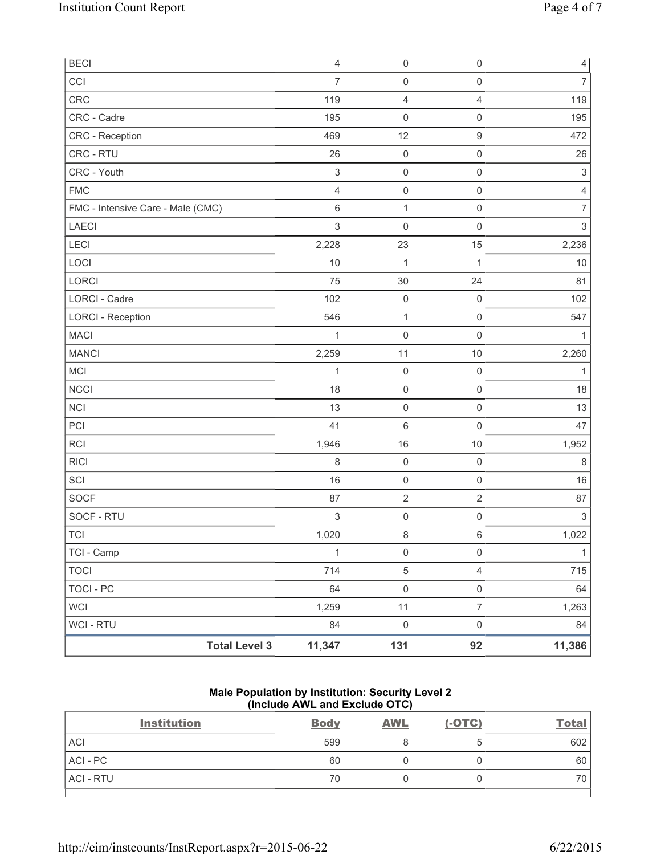| <b>BECI</b>                       | $\overline{4}$ | $\mathsf{O}\xspace$ | $\mathsf 0$         | $\overline{4}$            |
|-----------------------------------|----------------|---------------------|---------------------|---------------------------|
| CCI                               | $\overline{7}$ | $\mathsf{O}\xspace$ | $\mathsf{O}\xspace$ | $\overline{7}$            |
| CRC                               | 119            | 4                   | $\overline{4}$      | 119                       |
| CRC - Cadre                       | 195            | $\mathsf{O}\xspace$ | $\mathsf 0$         | 195                       |
| CRC - Reception                   | 469            | 12                  | $\boldsymbol{9}$    | 472                       |
| CRC - RTU                         | 26             | $\mathsf{O}\xspace$ | $\mathsf 0$         | 26                        |
| CRC - Youth                       | $\sqrt{3}$     | $\mathsf{O}\xspace$ | $\mathsf 0$         | $\ensuremath{\mathsf{3}}$ |
| <b>FMC</b>                        | $\overline{4}$ | $\mathsf{O}\xspace$ | $\mathsf 0$         | $\overline{4}$            |
| FMC - Intensive Care - Male (CMC) | $\,6\,$        | $\mathbf{1}$        | $\mathsf 0$         | $\overline{7}$            |
| LAECI                             | $\mathfrak{S}$ | $\mathbf 0$         | $\mathsf 0$         | $\sqrt{3}$                |
| LECI                              | 2,228          | 23                  | 15                  | 2,236                     |
| LOCI                              | 10             | $\mathbf{1}$        | 1                   | $10$                      |
| LORCI                             | 75             | 30                  | 24                  | 81                        |
| LORCI - Cadre                     | 102            | $\mathsf{O}\xspace$ | $\mathsf{O}\xspace$ | 102                       |
| <b>LORCI - Reception</b>          | 546            | $\mathbf 1$         | $\mathsf 0$         | 547                       |
| <b>MACI</b>                       | 1              | $\mathbf 0$         | $\mathsf{O}\xspace$ | 1                         |
| <b>MANCI</b>                      | 2,259          | 11                  | 10                  | 2,260                     |
| MCI                               | $\mathbf{1}$   | $\mathsf{O}\xspace$ | $\mathsf 0$         | $\mathbf{1}$              |
| <b>NCCI</b>                       | 18             | $\mathsf{O}\xspace$ | $\mathsf 0$         | 18                        |
| <b>NCI</b>                        | 13             | $\mathsf{O}\xspace$ | $\mathsf 0$         | 13                        |
| PCI                               | 41             | 6                   | $\mathsf 0$         | 47                        |
| <b>RCI</b>                        | 1,946          | 16                  | $10$                | 1,952                     |
| <b>RICI</b>                       | 8              | $\mathsf{O}\xspace$ | $\mathsf 0$         | 8                         |
| SCI                               | 16             | $\mathsf{O}\xspace$ | $\mathsf 0$         | 16                        |
| SOCF                              | 87             | $\mathbf 2$         | $\sqrt{2}$          | 87                        |
| SOCF - RTU                        | $\sqrt{3}$     | $\mathsf{O}\xspace$ | $\mathsf 0$         | $\,$ 3 $\,$               |
| <b>TCI</b>                        | 1,020          | 8                   | $\,6\,$             | 1,022                     |
| TCI - Camp                        | $\mathbf{1}$   | $\mathsf{O}\xspace$ | $\mathsf{O}\xspace$ | $\mathbf{1}$              |
| <b>TOCI</b>                       | 714            | $\sqrt{5}$          | $\overline{4}$      | 715                       |
| <b>TOCI - PC</b>                  | 64             | $\mathsf{O}\xspace$ | $\mathsf 0$         | 64                        |
| <b>WCI</b>                        | 1,259          | 11                  | $\overline{7}$      | 1,263                     |
| <b>WCI - RTU</b>                  | 84             | $\mathsf{O}\xspace$ | $\mathsf{O}\xspace$ | 84                        |
| <b>Total Level 3</b>              | 11,347         | 131                 | 92                  | 11,386                    |

# **Male Population by Institution: Security Level 2 (Include AWL and Exclude OTC)**

| <b>Institution</b> | <b>Body</b> | <b>AWL</b> | $(-OTC)$ | <b>Total</b> |
|--------------------|-------------|------------|----------|--------------|
| <b>ACI</b>         | 599         |            |          | 602          |
| ACI - PC           | 60          |            |          | 60           |
| <b>ACI - RTU</b>   | 70          |            |          | 70           |
|                    |             |            |          |              |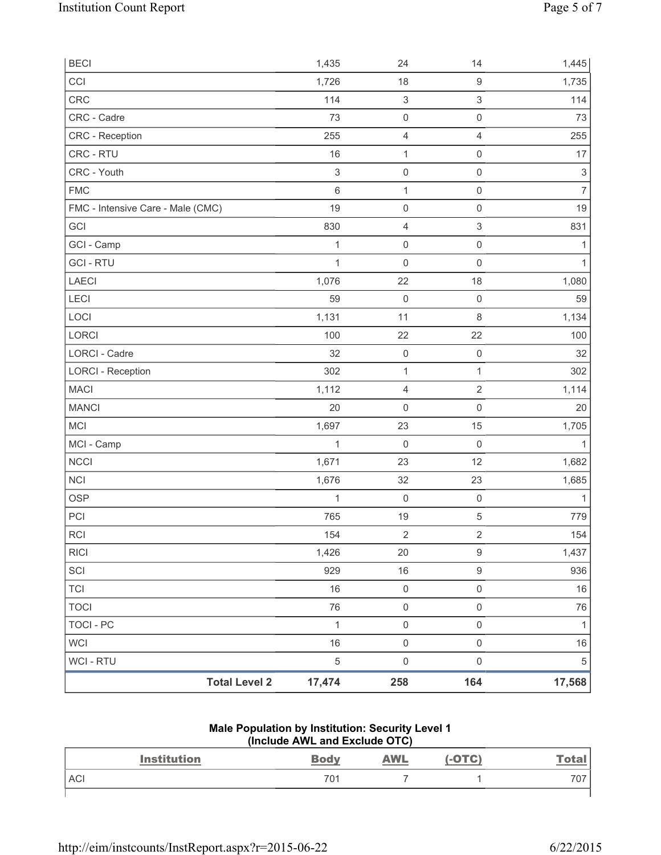| <b>Total Level 2</b>              | 17,474           | 258                        | 164                                        | 17,568                          |
|-----------------------------------|------------------|----------------------------|--------------------------------------------|---------------------------------|
| WCI - RTU                         | 5                | $\mathsf{O}\xspace$        | $\mathsf{O}\xspace$                        | $\,$ 5 $\,$                     |
| <b>WCI</b>                        | 16               | $\mathsf 0$                | $\mathsf{O}\xspace$                        | 16                              |
| <b>TOCI - PC</b>                  | $\mathbf{1}$     | $\mathsf 0$                | $\mathsf{O}\xspace$                        | $\mathbf{1}$                    |
| <b>TOCI</b>                       | 76               | $\mathsf{O}\xspace$        | $\mathsf{O}\xspace$                        | 76                              |
| <b>TCI</b>                        | 16               | $\mathsf 0$                | $\mathsf{O}\xspace$                        | 16                              |
| SCI                               | 929              | 16                         | 9                                          | 936                             |
| <b>RICI</b>                       | 1,426            | 20                         | $\mathsf g$                                | 1,437                           |
| RCI                               | 154              | $\sqrt{2}$                 | $\overline{2}$                             | 154                             |
| PCI                               | 765              | $19$                       | $\,$ 5 $\,$                                | 779                             |
| <b>OSP</b>                        | 1                | $\mathsf{O}\xspace$        | $\mathsf{O}\xspace$                        | $\mathbf{1}$                    |
| NCI                               | 1,676            | 32                         | 23                                         | 1,685                           |
| <b>NCCI</b>                       | 1,671            | 23                         | 12                                         | 1,682                           |
| MCI - Camp                        | 1                | $\mathbf 0$                | $\mathsf 0$                                | $\mathbf{1}$                    |
| <b>MCI</b>                        | 1,697            | 23                         | 15                                         | 1,705                           |
| <b>MANCI</b>                      | 20               | $\mathsf 0$                | $\mathsf{O}\xspace$                        | 20                              |
| <b>MACI</b>                       | 1,112            | $\overline{4}$             | $\overline{2}$                             | 1,114                           |
| <b>LORCI - Reception</b>          | 302              | $\mathbf{1}$               | 1                                          | 302                             |
| LORCI - Cadre                     | 32               | $\mathsf 0$                | $\mathsf 0$                                | 32                              |
| LORCI                             | 100              | 22                         | 22                                         | 100                             |
| LOCI                              | 1,131            | 11                         | 8                                          | 1,134                           |
| LECI                              | 59               | $\mathbf 0$                | $\mathsf{O}\xspace$                        | 59                              |
| <b>LAECI</b>                      | 1,076            | 22                         | 18                                         | 1,080                           |
| <b>GCI-RTU</b>                    | 1                | $\mathbf 0$                | $\mathsf{O}\xspace$                        | $\mathbf{1}$                    |
| GCI - Camp                        | 1                | $\mathsf 0$                | $\mathsf{O}\xspace$                        | 1                               |
| GCI                               | 830              | $\overline{4}$             | $\mathsf 3$                                | 831                             |
| FMC - Intensive Care - Male (CMC) | 19               | $\mathbf 0$                | $\mathsf{O}\xspace$                        | 19                              |
| <b>FMC</b>                        | $\,6\,$          | $\mathbf{1}$               | $\mathsf{O}\xspace$                        | $\overline{7}$                  |
| CRC - RTU<br>CRC - Youth          | 16<br>$\sqrt{3}$ | $\mathbf 1$<br>$\mathbf 0$ | $\mathsf{O}\xspace$<br>$\mathsf{O}\xspace$ | 17<br>$\ensuremath{\mathsf{3}}$ |
| CRC - Reception                   | 255              | $\overline{4}$             | $\overline{4}$                             | 255                             |
| CRC - Cadre                       | 73               | $\mathsf{O}\xspace$        | $\mathsf{O}\xspace$                        | 73                              |
| CRC                               | 114              | $\ensuremath{\mathsf{3}}$  | 3                                          | 114                             |
| CCI                               | 1,726            | 18                         | $\boldsymbol{9}$                           | 1,735                           |
| <b>BECI</b>                       | 1,435            | 24                         | 14                                         | 1,445                           |
|                                   |                  |                            |                                            |                                 |

#### **Male Population by Institution: Security Level 1 (Include AWL and Exclude OTC)**

| <b>Institution</b> | <b>Body</b> | <u>AWL</u> | -OTC) | <b>Total</b> |
|--------------------|-------------|------------|-------|--------------|
| <b>ACI</b>         | 701         |            |       | 707          |
|                    |             |            |       |              |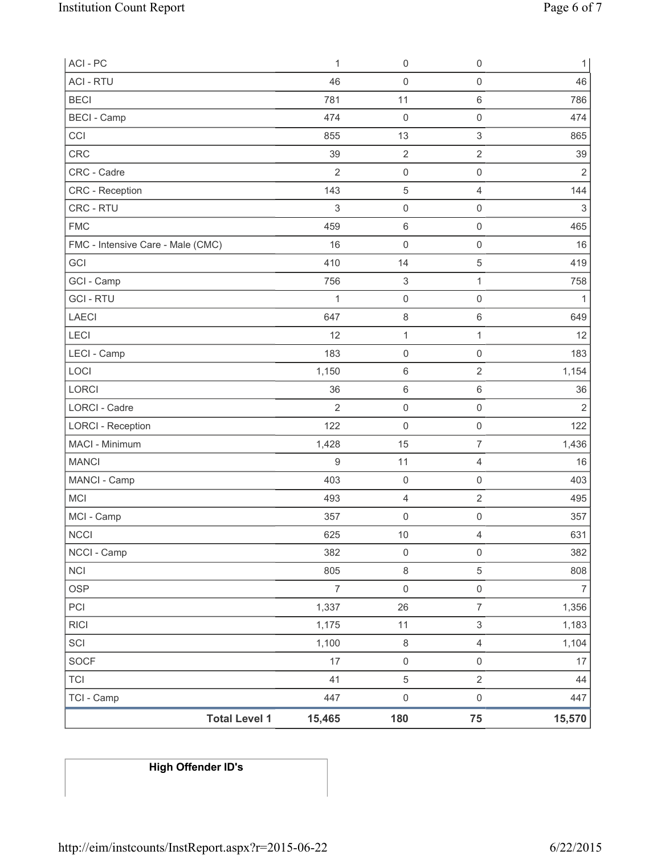| ACI-PC                            | $\mathbf{1}$   | $\mathsf{O}\xspace$       | $\mathsf 0$               | $\mathbf{1}$   |
|-----------------------------------|----------------|---------------------------|---------------------------|----------------|
| <b>ACI - RTU</b>                  | 46             | $\mathsf 0$               | $\mathsf 0$               | 46             |
| <b>BECI</b>                       | 781            | 11                        | $\,6\,$                   | 786            |
| <b>BECI</b> - Camp                | 474            | $\mathbf 0$               | $\mathbf 0$               | 474            |
| CCI                               | 855            | 13                        | $\sqrt{3}$                | 865            |
| CRC                               | 39             | $\mathbf 2$               | $\sqrt{2}$                | 39             |
| CRC - Cadre                       | $\overline{2}$ | $\mathsf{O}\xspace$       | $\mathsf 0$               | $\sqrt{2}$     |
| CRC - Reception                   | 143            | 5                         | $\overline{4}$            | 144            |
| CRC - RTU                         | $\sqrt{3}$     | $\mathsf{O}\xspace$       | $\mathsf 0$               | $\sqrt{3}$     |
| <b>FMC</b>                        | 459            | $\,6\,$                   | $\mathsf 0$               | 465            |
| FMC - Intensive Care - Male (CMC) | 16             | $\mathsf{O}\xspace$       | $\mathsf 0$               | 16             |
| GCI                               | 410            | 14                        | $\sqrt{5}$                | 419            |
| GCI - Camp                        | 756            | $\ensuremath{\mathsf{3}}$ | 1                         | 758            |
| <b>GCI-RTU</b>                    | $\mathbf{1}$   | $\mathsf{O}\xspace$       | $\mathsf 0$               | $\mathbf{1}$   |
| <b>LAECI</b>                      | 647            | 8                         | $\,6\,$                   | 649            |
| LECI                              | 12             | $\mathbf{1}$              | 1                         | 12             |
| LECI - Camp                       | 183            | $\mathsf 0$               | $\mathbf 0$               | 183            |
| LOCI                              | 1,150          | 6                         | $\sqrt{2}$                | 1,154          |
| LORCI                             | 36             | 6                         | $\,6\,$                   | 36             |
| <b>LORCI - Cadre</b>              | $\overline{2}$ | $\mathsf{O}\xspace$       | $\mathsf 0$               | $\overline{2}$ |
| <b>LORCI - Reception</b>          | 122            | $\mathsf{O}\xspace$       | $\mathsf 0$               | 122            |
| MACI - Minimum                    | 1,428          | 15                        | $\overline{7}$            | 1,436          |
| <b>MANCI</b>                      | 9              | 11                        | $\overline{4}$            | 16             |
| MANCI - Camp                      | 403            | $\mathsf{O}\xspace$       | $\mathsf{O}\xspace$       | 403            |
| <b>MCI</b>                        | 493            | 4                         | $\mathbf 2$               | 495            |
| MCI - Camp                        | 357            | $\boldsymbol{0}$          | $\mathsf{O}\xspace$       | 357            |
| <b>NCCI</b>                       | 625            | 10                        | $\overline{4}$            | 631            |
| NCCI - Camp                       | 382            | $\mathsf{O}\xspace$       | $\mathsf 0$               | 382            |
| NCI                               | 805            | $\,8\,$                   | 5                         | 808            |
| <b>OSP</b>                        | $\overline{7}$ | $\mathsf{O}\xspace$       | $\mathsf{O}\xspace$       | $\overline{7}$ |
| PCI                               | 1,337          | 26                        | $\overline{7}$            | 1,356          |
| <b>RICI</b>                       | 1,175          | 11                        | $\ensuremath{\mathsf{3}}$ | 1,183          |
| SCI                               | 1,100          | $\,8\,$                   | $\overline{4}$            | 1,104          |
| <b>SOCF</b>                       | 17             | $\mathsf{O}\xspace$       | $\mathsf{O}\xspace$       | 17             |
| <b>TCI</b>                        | 41             | $\mathbf 5$               | $\sqrt{2}$                | 44             |
| TCI - Camp                        | 447            | $\mathsf{O}\xspace$       | $\mathsf{O}\xspace$       | 447            |
| <b>Total Level 1</b>              | 15,465         | 180                       | 75                        | 15,570         |

# **High Offender ID's**